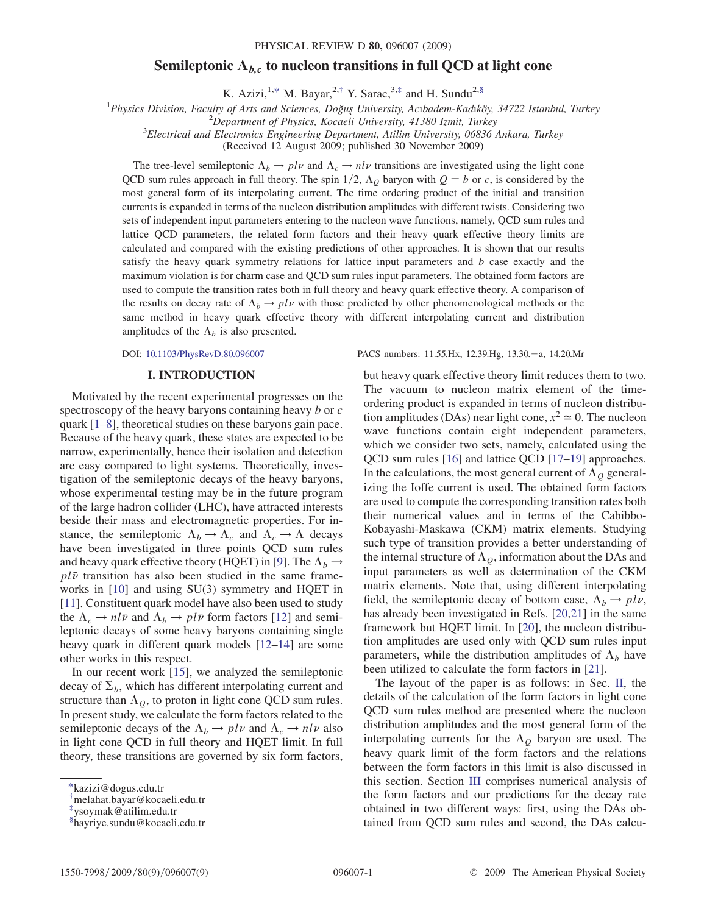## Semileptonic  $A_{bc}$  to nucleon transitions in full QCD at light cone

K. Azizi,<sup>1[,\\*](#page-0-0)</sup> M. Bayar,<sup>2,[†](#page-0-1)</sup> Y. Sarac,<sup>3[,‡](#page-0-2)</sup> and H. Sundu<sup>2,§</sup>

<span id="page-0-3"></span><sup>1</sup> Physics Division, Faculty of Arts and Sciences, Doğuş University, Acıbadem-Kadıköy, 34722 Istanbul, Turkey <sup>2</sup> Denartment of Physics, Kogaali University, 41380 Ismit, Turkey

 $^{2}$ Department of Physics, Kocaeli University, 41380 Izmit, Turkey

 ${}^{3}$ Electrical and Electronics Engineering Department, Atilim University, 06836 Ankara, Turkey

(Received 12 August 2009; published 30 November 2009)

The tree-level semileptonic  $\Lambda_b \to plv$  and  $\Lambda_c \to nlv$  transitions are investigated using the light cone<br>The sum rules approach in full theory. The spin 1/2,  $\Lambda$ , hervon with  $O = h$  or c is considered by the QCD sum rules approach in full theory. The spin  $1/2$ ,  $\Lambda_Q$  baryon with  $Q = b$  or c, is considered by the most general form of its interpolating current. The time ordering product of the initial and transition most general form of its interpolating current. The time ordering product of the initial and transition currents is expanded in terms of the nucleon distribution amplitudes with different twists. Considering two sets of independent input parameters entering to the nucleon wave functions, namely, QCD sum rules and lattice QCD parameters, the related form factors and their heavy quark effective theory limits are calculated and compared with the existing predictions of other approaches. It is shown that our results satisfy the heavy quark symmetry relations for lattice input parameters and  $b$  case exactly and the maximum violation is for charm case and QCD sum rules input parameters. The obtained form factors are used to compute the transition rates both in full theory and heavy quark effective theory. A comparison of the results on decay rate of  $\Lambda_b \to plv$  with those predicted by other phenomenological methods or the same method in heavy quark effective theory with different interpolating current and distribution same method in heavy quark effective theory with different interpolating current and distribution amplitudes of the  $\Lambda_b$  is also presented.

## I. INTRODUCTION

Motivated by the recent experimental progresses on the spectroscopy of the heavy baryons containing heavy b or c quark [\[1–](#page-8-0)[8](#page-8-1)], theoretical studies on these baryons gain pace. Because of the heavy quark, these states are expected to be narrow, experimentally, hence their isolation and detection are easy compared to light systems. Theoretically, investigation of the semileptonic decays of the heavy baryons, whose experimental testing may be in the future program of the large hadron collider (LHC), have attracted interests beside their mass and electromagnetic properties. For instance, the semileptonic  $\Lambda_b \to \Lambda_c$  and  $\Lambda_c \to \Lambda$  decays<br>have been investigated in three points OCD sum rules have been investigated in three points QCD sum rules and heavy quark effective theory (HQET) in [[9](#page-8-2)]. The  $\Lambda_b \rightarrow$ and heavy quark effective theory ( $HQE1$ ) in [9]. The  $\Lambda_b \rightarrow pl\bar{\nu}$  transition has also been studied in the same frameworks in [[10\]](#page-8-3) and using SU(3) symmetry and HQET in [\[11\]](#page-8-4). Constituent quark model have also been used to study the  $\Lambda_c \to n l \bar{\nu}$  and  $\Lambda_b \to p l \bar{\nu}$  form factors [\[12\]](#page-8-5) and semi-<br>leptonic decays of some heavy baryons containing single leptonic decays of some heavy baryons containing single heavy quark in different quark models [[12](#page-8-5)–[14](#page-8-6)] are some other works in this respect.

In our recent work [\[15](#page-8-7)], we analyzed the semileptonic decay of  $\Sigma_b$ , which has different interpolating current and structure than  $\Lambda_Q$ , to proton in light cone QCD sum rules. In present study, we calculate the form factors related to the semileptonic decays of the  $\Lambda_b \to plv$  and  $\Lambda_c \to nlv$  also<br>in light cone OCD in full theory and HOFT limit. In full in light cone QCD in full theory and HQET limit. In full theory, these transitions are governed by six form factors,

DOI: [10.1103/PhysRevD.80.096007](http://dx.doi.org/10.1103/PhysRevD.80.096007) PACS numbers: 11.55.Hx, 12.39.Hg, 13.30.-a, 14.20.Mr

but heavy quark effective theory limit reduces them to two. The vacuum to nucleon matrix element of the timeordering product is expanded in terms of nucleon distribution amplitudes (DAs) near light cone,  $x^2 \approx 0$ . The nucleon wave functions contain eight independent parameters, which we consider two sets, namely, calculated using the QCD sum rules [[16\]](#page-8-8) and lattice QCD [[17](#page-8-9)–[19](#page-8-10)] approaches. In the calculations, the most general current of  $\Lambda_Q$  generalizing the Ioffe current is used. The obtained form factors are used to compute the corresponding transition rates both their numerical values and in terms of the Cabibbo-Kobayashi-Maskawa (CKM) matrix elements. Studying such type of transition provides a better understanding of the internal structure of  $\Lambda_Q$ , information about the DAs and input parameters as well as determination of the CKM matrix elements. Note that, using different interpolating field, the semileptonic decay of bottom case,  $\Lambda_b \to plv$ ,<br>has already been investigated in Refs. [20,21] in the same has already been investigated in Refs. [\[20](#page-8-11)[,21\]](#page-8-12) in the same framework but HQET limit. In [[20\]](#page-8-11), the nucleon distribution amplitudes are used only with QCD sum rules input parameters, while the distribution amplitudes of  $\Lambda_b$  have been utilized to calculate the form factors in [[21](#page-8-12)].

The layout of the paper is as follows: in Sec. II, the details of the calculation of the form factors in light cone QCD sum rules method are presented where the nucleon distribution amplitudes and the most general form of the interpolating currents for the  $\Lambda_Q$  baryon are used. The heavy quark limit of the form factors and the relations between the form factors in this limit is also discussed in this section. Section III comprises numerical analysis of the form factors and our predictions for the decay rate obtained in two different ways: first, using the DAs obtained from QCD sum rules and second, the DAs calcu-

<span id="page-0-0"></span>[<sup>\\*</sup>k](#page-0-3)azizi@dogus.edu.tr

<span id="page-0-1"></span>[<sup>†</sup>](#page-0-3) melahat.bayar@kocaeli.edu.tr

<span id="page-0-2"></span>[<sup>‡</sup>](#page-0-3) ysoymak@atilim.edu.tr

x hayriye.sundu@kocaeli.edu.tr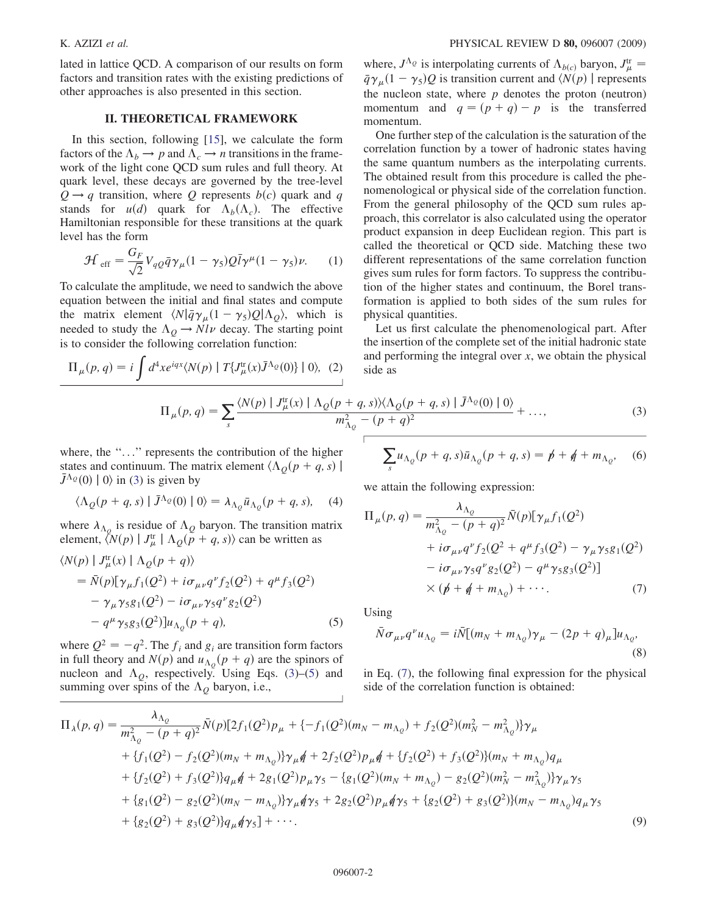lated in lattice QCD. A comparison of our results on form factors and transition rates with the existing predictions of other approaches is also presented in this section.

## **II. THEORETICAL FRAMEWORK** II. THEORETICAL FRAMEWORK

In this section, following [\[15\]](#page-8-7), we calculate the form factors of the  $\Lambda_b \to p$  and  $\Lambda_c \to n$  transitions in the frame-<br>work of the light cone OCD sum rules and full theory. At work of the light cone QCD sum rules and full theory. At quark level, these decays are governed by the tree-level  $Q \rightarrow q$  transition, where Q represents  $b(c)$  quark and q stands for  $u(d)$  quark for  $\Lambda_b(\Lambda_c)$ . The effective<br>Hamiltonian responsible for these transitions at the quark Hamiltonian responsible for these transitions at the quark level has the form

$$
\mathcal{H}_{\text{eff}} = \frac{G_F}{\sqrt{2}} V_{qQ} \bar{q} \gamma_\mu (1 - \gamma_5) Q \bar{l} \gamma^\mu (1 - \gamma_5) \nu. \tag{1}
$$

To calculate the amplitude, we need to sandwich the above equation between the initial and final states and compute the matrix element  $\langle N|\bar{q}\gamma_{\mu}(1-\gamma_5)Q|\Lambda_Q\rangle$ , which is needed to study the  $\Lambda_Q \to N l \nu$  decay. The starting point<br>is to consider the following correlation function: is to consider the following correlation function:

<span id="page-1-0"></span>
$$
\Pi_{\mu}(p,q) = i \int d^4x e^{iqx} \langle N(p) | T\{J^{\text{tr}}_{\mu}(x)\bar{J}^{\Lambda_Q}(0)\} | 0 \rangle, (2)
$$

$$
\Pi_{\mu}(p,q) = \sum_{s} \frac{\langle N(p) | J^{\text{tr}}_{\mu}(x) | \Lambda_Q(p+q) \rangle}{m_{\Lambda_Q}^2}
$$

where, the "..." represents the contribution of the higher states and continuum. The matrix element  $\langle \Lambda_Q(p+q, s) | \bar{I}^{\Lambda_Q}(0) | 0 \rangle$  in (3) is given by  $\bar{J}^{\Lambda_Q}(0) | 0 \rangle$  in ([3\)](#page-1-0) is given by

$$
\langle \Lambda_Q(p+q,s) | \bar{J}^{\Lambda_Q}(0) | 0 \rangle = \lambda_{\Lambda_Q} \bar{u}_{\Lambda_Q}(p+q,s), \quad (4)
$$

where  $\lambda_{\Lambda_Q}$  is residue of  $\Lambda_Q$  baryon. The transition matrix element,  $\langle N(p) | J^{\text{tr}}_{\mu} | \Lambda_Q(\tilde{p} + q, s) \rangle$  can be written as

<span id="page-1-1"></span>
$$
\langle N(p) | J^{\text{tr}}_{\mu}(x) | \Lambda_Q(p+q) \rangle
$$
  
=  $\bar{N}(p)[\gamma_{\mu}f_1(Q^2) + i\sigma_{\mu\nu}q^{\nu}f_2(Q^2) + q^{\mu}f_3(Q^2)$   
 $- \gamma_{\mu}\gamma_5g_1(Q^2) - i\sigma_{\mu\nu}\gamma_5q^{\nu}g_2(Q^2)$   
 $- q^{\mu}\gamma_5g_3(Q^2)]u_{\Lambda_Q}(p+q),$  (5)

where  $Q^2 = -q^2$ . The  $f_i$  and  $g_i$  are transition form factors in full theory and  $N(p)$  and  $u_{\Lambda_Q}(p+q)$  are the spinors of<br>nucleon and  $\Lambda_Q$  respectively Using Eqs. (3)–(5) and nucleon and  $\Lambda_Q$ , respectively. Using Eqs. [\(3](#page-1-0))–([5\)](#page-1-1) and summing over spins of the  $\Lambda_Q$  baryon, i.e.,

where,  $J^{\Lambda} \varrho$  is interpolating currents of  $\Lambda_{b(c)}$  baryon,  $J^{\text{tr}}_{\mu} = \bar{g}_{\lambda}$  (1 –  $\chi$ ) Q is transition current and  $(N(n))$  represents  $\overline{q}\gamma_{\mu}(1-\gamma_{5})Q$  is transition current and  $\langle N(p) \rangle$  represents<br>the nucleon state, where *n* denotes the proton (peutron) the nucleon state, where  $p$  denotes the proton (neutron) momentum and  $q = (p + q) - p$  is the transferred momentum.

One further step of the calculation is the saturation of the correlation function by a tower of hadronic states having the same quantum numbers as the interpolating currents. The obtained result from this procedure is called the phenomenological or physical side of the correlation function. From the general philosophy of the QCD sum rules approach, this correlator is also calculated using the operator product expansion in deep Euclidean region. This part is called the theoretical or QCD side. Matching these two different representations of the same correlation function gives sum rules for form factors. To suppress the contribution of the higher states and continuum, the Borel transformation is applied to both sides of the sum rules for physical quantities.

Let us first calculate the phenomenological part. After the insertion of the complete set of the initial hadronic state and performing the integral over  $x$ , we obtain the physical side as

$$
(p,q) = \sum_{s} \frac{\langle N(p) | J^{\text{tr}}_{\mu}(x) | \Lambda_Q(p+q,s) \rangle \langle \Lambda_Q(p+q,s) | \bar{J}^{\Lambda_Q}(0) | 0 \rangle}{m_{\Lambda_Q}^2 - (p+q)^2} + \dots,
$$
\n(3)

$$
\sum_{s} u_{\Lambda_Q}(p+q,s)\bar{u}_{\Lambda_Q}(p+q,s) = p + q + m_{\Lambda_Q}, \quad (6)
$$

<span id="page-1-2"></span>we attain the following expression:

$$
\Pi_{\mu}(p,q) = \frac{\lambda_{\Lambda_{Q}}}{m_{\Lambda_{Q}}^{2} - (p+q)^{2}} \bar{N}(p) [\gamma_{\mu} f_{1}(Q^{2}) \n+ i\sigma_{\mu\nu} q^{\nu} f_{2}(Q^{2} + q^{\mu} f_{3}(Q^{2}) - \gamma_{\mu} \gamma_{5} g_{1}(Q^{2}) \n- i\sigma_{\mu\nu} \gamma_{5} q^{\nu} g_{2}(Q^{2}) - q^{\mu} \gamma_{5} g_{3}(Q^{2})] \times (p + q + m_{\Lambda_{Q}}) + \cdots.
$$
\n(7)

Using

$$
\bar{N}\sigma_{\mu\nu}q^{\nu}u_{\Lambda_{Q}} = i\bar{N}[(m_{N} + m_{\Lambda_{Q}})\gamma_{\mu} - (2p+q)_{\mu}]u_{\Lambda_{Q}},
$$
\n(8)

in Eq. ([7](#page-1-2)), the following final expression for the physical side of the correlation function is obtained:

$$
\Pi_{\lambda}(p,q) = \frac{\lambda_{\Lambda_{\mathcal{Q}}}}{m_{\Lambda_{\mathcal{Q}}}^{2} - (p+q)^{2}} \bar{N}(p)[2f_{1}(Q^{2})p_{\mu} + \{-f_{1}(Q^{2})(m_{N} - m_{\Lambda_{\mathcal{Q}}}) + f_{2}(Q^{2})(m_{N}^{2} - m_{\Lambda_{\mathcal{Q}}}^{2})\}\gamma_{\mu} \n+ \{f_{1}(Q^{2}) - f_{2}(Q^{2})(m_{N} + m_{\Lambda_{\mathcal{Q}}})\}\gamma_{\mu}q + 2f_{2}(Q^{2})p_{\mu}q + \{f_{2}(Q^{2}) + f_{3}(Q^{2})\}(m_{N} + m_{\Lambda_{\mathcal{Q}}})q_{\mu} \n+ \{f_{2}(Q^{2}) + f_{3}(Q^{2})\}q_{\mu}q + 2g_{1}(Q^{2})p_{\mu}\gamma_{5} - \{g_{1}(Q^{2})(m_{N} + m_{\Lambda_{\mathcal{Q}}}) - g_{2}(Q^{2})(m_{N}^{2} - m_{\Lambda_{\mathcal{Q}}}^{2})\}\gamma_{\mu}\gamma_{5} \n+ \{g_{1}(Q^{2}) - g_{2}(Q^{2})(m_{N} - m_{\Lambda_{\mathcal{Q}}})\}\gamma_{\mu}q\gamma_{5} + 2g_{2}(Q^{2})p_{\mu}q\gamma_{5} + \{g_{2}(Q^{2}) + g_{3}(Q^{2})\}(m_{N} - m_{\Lambda_{\mathcal{Q}}})q_{\mu}\gamma_{5} \n+ \{g_{2}(Q^{2}) + g_{3}(Q^{2})\}q_{\mu}q\gamma_{5}\} + \cdots
$$
\n(9)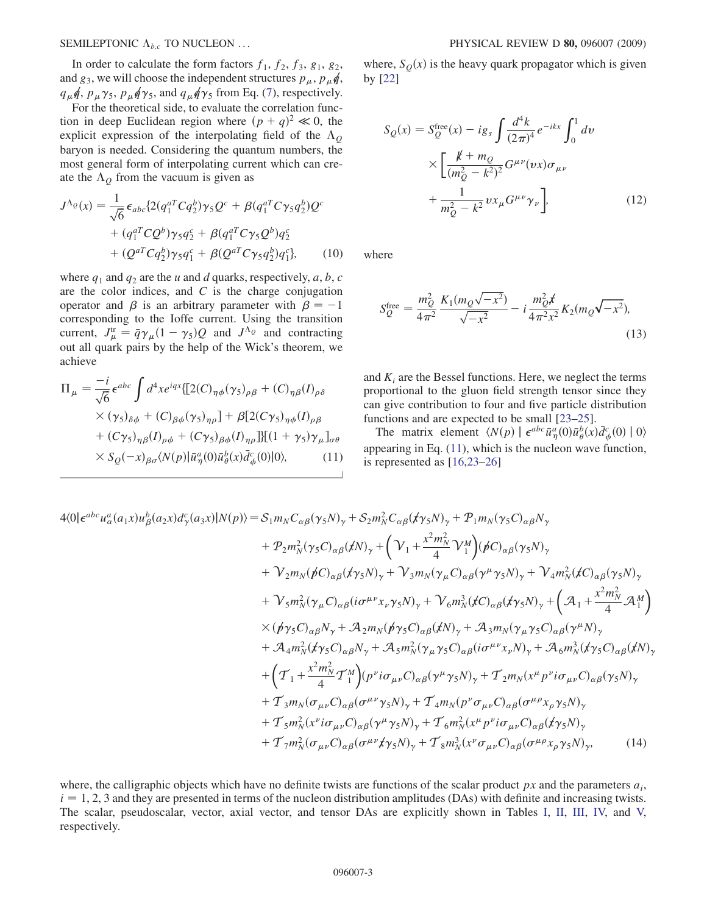SEMILEPTONIC  $\Lambda_{b,c}$  TO NUCLEON ...

In order to calculate the form factors  $f_1$ ,  $f_2$ ,  $f_3$ ,  $g_1$ ,  $g_2$ , and  $g_3$ , we will choose the independent structures  $p_\mu$ ,  $p_\mu \phi$ ,  $q_{\mu}\phi$ ,  $p_{\mu}\gamma_5$ ,  $p_{\mu}\phi\gamma_5$ , and  $q_{\mu}\phi\gamma_5$  from Eq. ([7\)](#page-1-2), respectively.<br>For the theoretical side, to evaluate the correlation func-

For the theoretical side, to evaluate the correlation function in deep Euclidean region where  $(p+q)^2 \ll 0$ , the explicit expression of the interpolating field of the  $\Lambda_{\odot}$ explicit expression of the interpolating field of the  $\Lambda_Q$ baryon is needed. Considering the quantum numbers, the most general form of interpolating current which can create the  $\Lambda_Q$  from the vacuum is given as

$$
J^{\Lambda_Q}(x) = \frac{1}{\sqrt{6}} \epsilon_{abc} \{ 2(q_1^{aT} C q_2^b) \gamma_5 Q^c + \beta (q_1^{aT} C \gamma_5 q_2^b) Q^c + (q_1^{aT} C Q^b) \gamma_5 q_2^c + \beta (q_1^{aT} C \gamma_5 Q^b) q_2^c + (Q^{aT} C q_2^b) \gamma_5 q_1^c + \beta (Q^{aT} C \gamma_5 q_2^b) q_1^c \}, \qquad (10)
$$

where  $q_1$  and  $q_2$  are the u and d quarks, respectively, a, b, c are the color indices, and  $C$  is the charge conjugation operator and  $\beta$  is an arbitrary parameter with  $\beta = -1$ corresponding to the Ioffe current. Using the transition current,  $J^{\text{tr}}_{\mu} = \bar{q} \gamma_{\mu} (1 - \gamma_5) Q$  and  $J^{\Lambda_Q}$  and contracting<br>out all quark pairs by the help of the Wick's theorem, we out all quark pairs by the help of the Wick's theorem, we achieve

<span id="page-2-0"></span>
$$
\Pi_{\mu} = \frac{-i}{\sqrt{6}} \epsilon^{abc} \int d^4x e^{iqx} \{ [2(C)_{\eta\phi}(\gamma_5)_{\rho\beta} + (C)_{\eta\beta}(I)_{\rho\delta} \times (\gamma_5)_{\delta\phi} + (C)_{\beta\phi}(\gamma_5)_{\eta\rho}] + \beta [2(C\gamma_5)_{\eta\phi}(I)_{\rho\beta} \n+ (C\gamma_5)_{\eta\beta}(I)_{\rho\phi} + (C\gamma_5)_{\beta\phi}(I)_{\eta\rho}] \} [(1 + \gamma_5) \gamma_{\mu}]_{\sigma\theta} \times S_{Q}(-x)_{\beta\sigma} \langle N(p) | \bar{u}_{\eta}^a(0) \bar{u}_{\theta}^b(x) \bar{d}_{\phi}^c(0) | 0 \rangle, \tag{11}
$$

where,  $S<sub>O</sub>(x)$  is the heavy quark propagator which is given by [[22](#page-8-13)]

$$
S_Q(x) = S_Q^{\text{free}}(x) - ig_s \int \frac{d^4 k}{(2\pi)^4} e^{-ikx} \int_0^1 dv
$$
  
 
$$
\times \left[ \frac{k + m_Q}{(m_Q^2 - k^2)^2} G^{\mu\nu}(vx) \sigma_{\mu\nu} + \frac{1}{m_Q^2 - k^2} v x_\mu G^{\mu\nu} \gamma_\nu \right],
$$
 (12)

where

$$
S_{Q}^{\text{free}} = \frac{m_Q^2}{4\pi^2} \frac{K_1(m_Q\sqrt{-x^2})}{\sqrt{-x^2}} - i \frac{m_Q^2 \cancel{x}}{4\pi^2 x^2} K_2(m_Q\sqrt{-x^2}),\tag{13}
$$

and  $K_i$  are the Bessel functions. Here, we neglect the terms proportional to the gluon field strength tensor since they can give contribution to four and five particle distribution functions and are expected to be small [[23](#page-8-14)[–25\]](#page-8-15).

The matrix element  $\langle N(p) | \epsilon^{abc} \bar{u}^a_{\eta}(0) \bar{u}^b_{\theta}(x) \bar{d}^c_{\phi}(0) | 0 \rangle$ appearing in Eq. ([11](#page-2-0)), which is the nucleon wave function, is represented as [[16](#page-8-8),[23](#page-8-14)[–26\]](#page-8-16)

$$
4\langle 0|\epsilon^{abc}u_{\alpha}^{a}(a_{1}x)u_{\beta}^{b}(a_{2}x)d_{\gamma}^{c}(a_{3}x)|N(p)\rangle = S_{1}m_{N}C_{\alpha\beta}(\gamma_{5}N)_{\gamma} + S_{2}m_{N}^{2}C_{\alpha\beta}(\gamma_{5}N)_{\gamma} + P_{1}m_{N}(\gamma_{5}C)_{\alpha\beta}N_{\gamma} + P_{2}m_{N}^{2}(\gamma_{5}C)_{\alpha\beta}(\gamma_{N})_{\gamma} + (\gamma_{1} + \frac{x^{2}m_{N}^{2}}{4}\gamma_{1}^{M})(\beta C)_{\alpha\beta}(\gamma_{5}N)_{\gamma} + \gamma_{2}m_{N}(\beta C)_{\alpha\beta}(\gamma_{5}N)_{\gamma} + \gamma_{3}m_{N}(\gamma_{\mu}C)_{\alpha\beta}(\gamma^{\mu}\gamma_{5}N)_{\gamma} + \gamma_{4}m_{N}^{2}(\gamma C)_{\alpha\beta}(\gamma_{5}N)_{\gamma} + \gamma_{5}m_{N}^{2}(\gamma_{\mu}C)_{\alpha\beta}(i\sigma^{\mu\nu}x_{\nu}\gamma_{5}N)_{\gamma} + \gamma_{6}m_{N}^{3}(\gamma C)_{\alpha\beta}(\gamma_{5}N)_{\gamma} + (\mathcal{A}_{1} + \frac{x^{2}m_{N}^{2}}{4}\mathcal{A}_{1}^{M}) \times (\mathcal{P}\gamma_{5}C)_{\alpha\beta}N_{\gamma} + \mathcal{A}_{2}m_{N}(\mathcal{P}\gamma_{5}C)_{\alpha\beta}(\gamma_{N})_{\gamma} + \mathcal{A}_{3}m_{N}(\gamma_{\mu}\gamma_{5}C)_{\alpha\beta}(\gamma^{\mu}N)_{\gamma} + \mathcal{A}_{4}m_{N}^{2}(\gamma_{5}C)_{\alpha\beta}N_{\gamma} + \mathcal{A}_{5}m_{N}^{2}(\gamma_{\mu}\gamma_{5}C)_{\alpha\beta}(\mathrm{i}\sigma^{\mu\nu}x_{\nu}N)_{\gamma} + \mathcal{A}_{6}m_{N}^{3}(\gamma_{5}C)_{\alpha\beta}(\gamma_{N})_{\gamma} + \left(\mathcal{T}_{1} + \frac{x^{2}m_{N}^{2}}{4}\mathcal{T}_{1}^{M}\right)(p^{\nu}i\sigma_{\mu\nu}C)_{\alpha\beta}(\
$$

where, the calligraphic objects which have no definite twists are functions of the scalar product  $px$  and the parameters  $a_i$ ,  $i = 1, 2, 3$  and they are presented in terms of the nucleon distribution amplitudes (DAs) with definite and increasing twists. The scalar, pseudoscalar, vector, axial vector, and tensor DAs are explicitly shown in Tables [I](#page-3-0), [II,](#page-3-1) [III,](#page-3-2) [IV,](#page-3-3) and [V,](#page-3-4) respectively.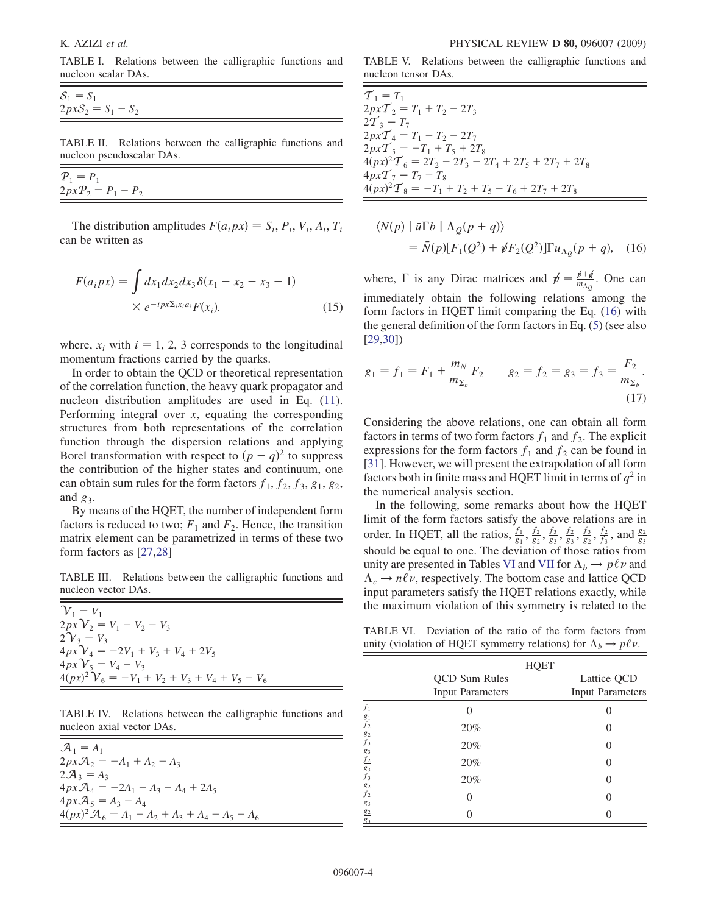<span id="page-3-0"></span>TABLE I. Relations between the calligraphic functions and nucleon scalar DAs.

$$
S_1 = S_1
$$
  
2pxS<sub>2</sub> = S<sub>1</sub> - S<sub>2</sub>

<span id="page-3-1"></span>TABLE II. Relations between the calligraphic functions and nucleon pseudoscalar DAs.

| $P_1 = P_1$          |  |  |
|----------------------|--|--|
| $2pxP_2 = P_1 - P_2$ |  |  |
|                      |  |  |

The distribution amplitudes  $F(a_i px) = S_i$ ,  $P_i$ ,  $V_i$ ,  $A_i$ ,  $T_i$ can be written as

$$
F(a_i px) = \int dx_1 dx_2 dx_3 \delta(x_1 + x_2 + x_3 - 1)
$$
  
×  $e^{-ipx\Sigma_i x_i a_i} F(x_i)$ . (15)

where,  $x_i$  with  $i = 1, 2, 3$  corresponds to the longitudinal momentum fractions carried by the quarks.

In order to obtain the QCD or theoretical representation of the correlation function, the heavy quark propagator and nucleon distribution amplitudes are used in Eq. [\(11\)](#page-2-0). Performing integral over  $x$ , equating the corresponding structures from both representations of the correlation function through the dispersion relations and applying Borel transformation with respect to  $(p + q)^2$  to suppress<br>the contribution of the higher states and continuum one the contribution of the higher states and continuum, one can obtain sum rules for the form factors  $f_1$ ,  $f_2$ ,  $f_3$ ,  $g_1$ ,  $g_2$ , and  $g_3$ .

By means of the HQET, the number of independent form factors is reduced to two;  $F_1$  and  $F_2$ . Hence, the transition matrix element can be parametrized in terms of these two form factors as [\[27,](#page-8-17)[28\]](#page-8-18)

<span id="page-3-2"></span>TABLE III. Relations between the calligraphic functions and nucleon vector DAs.

 $\mathcal{V}_1 = V_1$  $2px\mathcal{V}_2 = V_1 - V_2 - V_3$  $2V_3 = V_3$  $4pxV_4 = -2V_1 + V_3 + V_4 + 2V_5$  $4pxV_5 = V_4 - V_3$  $4(px)^2 \mathcal{V}_6 = -V_1 + V_2 + V_3 + V_4 + V_5 - V_6$ 

<span id="page-3-3"></span>TABLE IV. Relations between the calligraphic functions and nucleon axial vector DAs.

| $\mathcal{A}_1 = A_1$                                       |  |
|-------------------------------------------------------------|--|
| $2px\mathcal{A}_2 = -A_1 + A_2 - A_3$                       |  |
| $2\mathcal{A}_3 = A_3$                                      |  |
| $4px\mathcal{A}_4 = -2A_1 - A_3 - A_4 + 2A_5$               |  |
| $4px\mathcal{A}_5 = A_3 - A_4$                              |  |
| $4(px)^2 \mathcal{A}_6 = A_1 - A_2 + A_3 + A_4 - A_5 + A_6$ |  |
|                                                             |  |

<span id="page-3-4"></span>TABLE V. Relations between the calligraphic functions and nucleon tensor DAs.

| ${\cal T}_1=T_1$                                       |
|--------------------------------------------------------|
| $2pxT_2 = T_1 + T_2 - 2T_3$                            |
| $2\overline{T}_3 = T_7$                                |
| $2pxT_4 = T_1 - T_2 - 2T_7$                            |
| $2pxT_5 = -T_1 + T_5 + 2T_8$                           |
| $4(px)^2T_6 = 2T_2 - 2T_3 - 2T_4 + 2T_5 + 2T_7 + 2T_8$ |
| $4pxT_7 = T_7 - T_8$                                   |
| $4(px)^2T_8 = -T_1 + T_2 + T_5 - T_6 + 2T_7 + 2T_8$    |
|                                                        |

<span id="page-3-5"></span>
$$
\langle N(p) | \bar{u} \Gamma b | \Lambda_Q(p+q) \rangle
$$
  
=  $\bar{N}(p)[F_1(Q^2) + \rlap/vF_2(Q^2)]\Gamma u_{\Lambda_Q}(p+q)$ , (16)

where,  $\Gamma$  is any Dirac matrices and  $p' = \frac{p+q}{m_{\Lambda_Q}}$ . One can immediately obtain the following relations among the form factors in HQET limit comparing the Eq. ([16](#page-3-5)) with the general definition of the form factors in Eq. ([5\)](#page-1-1) (see also [\[29](#page-8-19)[,30\]](#page-8-20))

$$
g_1 = f_1 = F_1 + \frac{m_N}{m_{\Sigma_b}} F_2 \qquad g_2 = f_2 = g_3 = f_3 = \frac{F_2}{m_{\Sigma_b}}.
$$
\n(17)

Considering the above relations, one can obtain all form factors in terms of two form factors  $f_1$  and  $f_2$ . The explicit expressions for the form factors  $f_1$  and  $f_2$  can be found in [\[31\]](#page-8-21). However, we will present the extrapolation of all form factors both in finite mass and HQET limit in terms of  $q^2$  in the numerical analysis section.

In the following, some remarks about how the HQET limit of the form factors satisfy the above relations are in order. In HQET, all the ratios,  $\frac{f_1}{g_1}, \frac{f_2}{g_2}, \frac{f_3}{g_3}, \frac{f_2}{g_3}, \frac{f_3}{g_2}, \frac{f_2}{f_3}$ , and  $\frac{g_2}{g_3}$ should be equal to one. The deviation of those ratios from unity are presented in Tables [VI](#page-3-6) and [VII](#page-4-0) for  $\Lambda_b \to p\ell \nu$  and  $\Lambda \to n\ell \nu$  respectively. The bottom case and lattice OCD  $\Lambda_c \to n\ell \nu$ , respectively. The bottom case and lattice QCD input parameters satisfy the HOFT relations exactly while input parameters satisfy the HQET relations exactly, while the maximum violation of this symmetry is related to the

<span id="page-3-6"></span>TABLE VI. Deviation of the ratio of the form factors from unity (violation of HQET symmetry relations) for  $\Lambda_b \to p\ell \nu$ .

|                                                                                        |                                                 | <b>HQET</b> |                                        |
|----------------------------------------------------------------------------------------|-------------------------------------------------|-------------|----------------------------------------|
|                                                                                        | <b>QCD</b> Sum Rules<br><b>Input Parameters</b> |             | Lattice QCD<br><b>Input Parameters</b> |
|                                                                                        |                                                 |             |                                        |
|                                                                                        | 20%                                             |             |                                        |
|                                                                                        | 20%                                             |             |                                        |
|                                                                                        | 20%                                             |             |                                        |
|                                                                                        | 20%                                             |             |                                        |
|                                                                                        | 0                                               |             |                                        |
| $f_1$<br>$g_1$ $f_2$ $g_2$ $f_3$<br>$g_3$ $f_2$ $g_3$<br>$f_3$ $g_2$ $f_2$ $g_3$ $g_2$ |                                                 |             |                                        |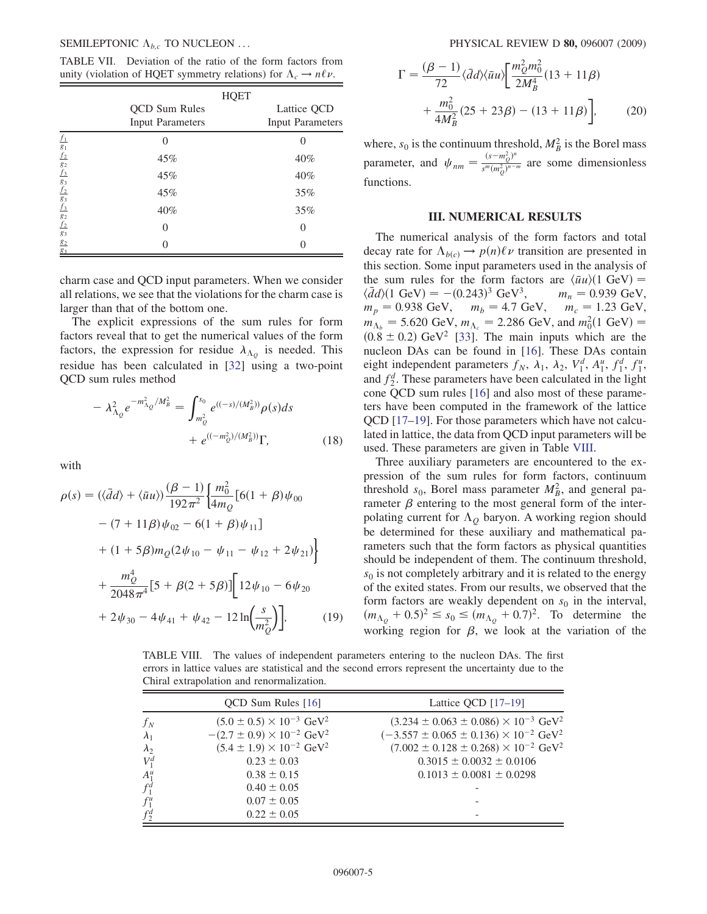<span id="page-4-0"></span>TABLE VII. Deviation of the ratio of the form factors from unity (violation of HQET symmetry relations) for  $\Lambda_c \to n\ell \nu$ .

|                                                                         |                         | <b>HQET</b> |                         |
|-------------------------------------------------------------------------|-------------------------|-------------|-------------------------|
|                                                                         | <b>QCD</b> Sum Rules    |             | Lattice QCD             |
|                                                                         | <b>Input Parameters</b> |             | <b>Input Parameters</b> |
|                                                                         |                         |             |                         |
| $f_1$ $g_1$ $f_2$ $g_2$ $f_3$ $g_3$ $f_2$ $g_3$ $f_3$ $g_2$ $f_2$ $g_3$ | 45%                     |             | 40%                     |
|                                                                         | 45%                     |             | 40%                     |
|                                                                         | 45%                     |             | 35%                     |
|                                                                         | 40%                     |             | 35%                     |
|                                                                         | $\Omega$                |             | 0                       |
| $g_2$<br>$\mathbf{g}_3$                                                 |                         |             |                         |

charm case and QCD input parameters. When we consider all relations, we see that the violations for the charm case is larger than that of the bottom one.

The explicit expressions of the sum rules for form factors reveal that to get the numerical values of the form factors, the expression for residue  $\lambda_{\Lambda_Q}$  is needed. This residue has been calculated in [\[32\]](#page-8-22) using a two-point QCD sum rules method

$$
- \lambda_{\Lambda_Q}^2 e^{-m_{\Lambda_Q}^2/M_B^2} = \int_{m_Q^2}^{s_0} e^{((-s)/(M_B^2))} \rho(s) ds
$$
  
+  $e^{((-m_Q^2)/(M_B^2))} \Gamma,$  (18)

with

$$
\rho(s) = (\langle \bar{d}d \rangle + \langle \bar{u}u \rangle) \frac{(\beta - 1)}{192\pi^2} \Biggl\{ \frac{m_0^2}{4m_Q} \Biggl[ 6(1 + \beta) \psi_{00} \Biggr] \n- (7 + 11\beta) \psi_{02} - 6(1 + \beta) \psi_{11} \Biggr] \n+ (1 + 5\beta) m_Q (2\psi_{10} - \psi_{11} - \psi_{12} + 2\psi_{21}) \Biggr\} \n+ \frac{m_0^4}{2048\pi^4} \Biggl[ 5 + \beta(2 + 5\beta) \Biggr] \Biggl[ 12\psi_{10} - 6\psi_{20} \Biggr] \n+ 2\psi_{30} - 4\psi_{41} + \psi_{42} - 12 \ln \Biggl( \frac{s}{m_Q^2} \Biggr) \Biggr],
$$
\n(19)

$$
\Gamma = \frac{(\beta - 1)}{72} \langle \bar{d}d \rangle \langle \bar{u}u \rangle \left[ \frac{m_Q^2 m_0^2}{2M_B^4} (13 + 11\beta) + \frac{m_0^2}{4M_B^2} (25 + 23\beta) - (13 + 11\beta) \right],
$$
 (20)

where,  $s_0$  is the continuum threshold,  $M_B^2$  is the Borel mass parameter, and  $\psi_{nm} = \frac{(s - m_Q^2)^n}{s^m (m_Q^2)^{n-1}}$  $\frac{\sqrt{S-m_Q}}{S^m(m_Q^2)^{n-m}}$  are some dimensionless functions.

## II. NUMERICAL RESULTS

The numerical analysis of the form factors and total decay rate for  $\Lambda_{b(c)} \to p(n)\ell \nu$  transition are presented in<br>this section. Some input parameters used in the analysis of this section. Some input parameters used in the analysis of the sum rules for the form factors are  $\langle \bar{u}u \rangle (1 \text{ GeV}) = \langle \bar{d}d \rangle (1 \text{ GeV}) = -(0.243)^3 \text{ GeV}^3$ ,  $m_n = 0.939 \text{ GeV}$ ,  $\langle \bar{d}d \rangle (1 \text{ GeV}) = -(0.243)^3 \text{ GeV}^3$ , <sup>3</sup> GeV<sup>3</sup>,  $m_n = 0.939$  GeV,<br>= 4.7 GeV  $m = 1.23$  GeV  $m_p = 0.938 \text{ GeV}, \quad m_b = 4.7 \text{ GeV}, \quad m_c = 1.23 \text{ GeV},$ <br> $m_{\text{e}} = 5.620 \text{ GeV}, m_{\text{e}} = 2.286 \text{ GeV}, \text{ and } m^2(1 \text{ GeV}) =$  $m_{\Lambda_b} = 5.620 \text{ GeV}, m_{\Lambda_c} = 2.286 \text{ GeV}, \text{ and } m_0^2 (1 \text{ GeV}) =$ <br>(0.8 ± 0.2) GeV<sup>2</sup> [33]. The main inputs which are the  $(0.8 \pm 0.2)$  GeV<sup>2</sup> [[33\]](#page-8-23). The main inputs which are the nucleon DAs can be found in [\[16](#page-8-8)]. These DAs contain eight independent parameters  $f_N$ ,  $\lambda_1$ ,  $\lambda_2$ ,  $V_1^d$ ,  $A_1^u$ ,  $f_1^d$ ,  $f_1^u$ , and  $f_2^d$ . These parameters have been calculated in the light cone QCD sum rules [\[16\]](#page-8-8) and also most of these parameters have been computed in the framework of the lattice QCD [\[17](#page-8-9)–[19](#page-8-10)]. For those parameters which have not calculated in lattice, the data from QCD input parameters will be used. These parameters are given in Table [VIII](#page-4-1).

Three auxiliary parameters are encountered to the expression of the sum rules for form factors, continuum threshold  $s_0$ , Borel mass parameter  $M_B^2$ , and general parameter  $\beta$  entering to the most general form of the interpolating current for  $\Lambda_Q$  baryon. A working region should be determined for these auxiliary and mathematical parameters such that the form factors as physical quantities should be independent of them. The continuum threshold,  $s<sub>0</sub>$  is not completely arbitrary and it is related to the energy of the exited states. From our results, we observed that the form factors are weakly dependent on  $s_0$  in the interval,  $(m_{\Lambda_Q} + 0.5)^2 \leq s_0 \leq (m_{\Lambda_Q} + 0.7)^2$ . To determine the working region for  $\beta$ , we look at the variation of the

<span id="page-4-1"></span>TABLE VIII. The values of independent parameters entering to the nucleon DAs. The first errors in lattice values are statistical and the second errors represent the uncertainty due to the Chiral extrapolation and renormalization.

|             | OCD Sum Rules [16]                               | Lattice QCD $[17-19]$                                          |
|-------------|--------------------------------------------------|----------------------------------------------------------------|
| $f_N$       | $(5.0 \pm 0.5) \times 10^{-3}$ GeV <sup>2</sup>  | $(3.234 \pm 0.063 \pm 0.086) \times 10^{-3}$ GeV <sup>2</sup>  |
| $\lambda_1$ | $-(2.7 \pm 0.9) \times 10^{-2}$ GeV <sup>2</sup> | $(-3.557 \pm 0.065 \pm 0.136) \times 10^{-2}$ GeV <sup>2</sup> |
| $\lambda_2$ | $(5.4 \pm 1.9) \times 10^{-2}$ GeV <sup>2</sup>  | $(7.002 \pm 0.128 \pm 0.268) \times 10^{-2}$ GeV <sup>2</sup>  |
| $V_1^d$     | $0.23 \pm 0.03$                                  | $0.3015 \pm 0.0032 \pm 0.0106$                                 |
| $A_1^u$     | $0.38 \pm 0.15$                                  | $0.1013 \pm 0.0081 \pm 0.0298$                                 |
| $f_1^d$     | $0.40 \pm 0.05$                                  |                                                                |
| $f_1^u$     | $0.07 \pm 0.05$                                  |                                                                |
| $f_2^d$     | $0.22 \pm 0.05$                                  | $\overline{\phantom{0}}$                                       |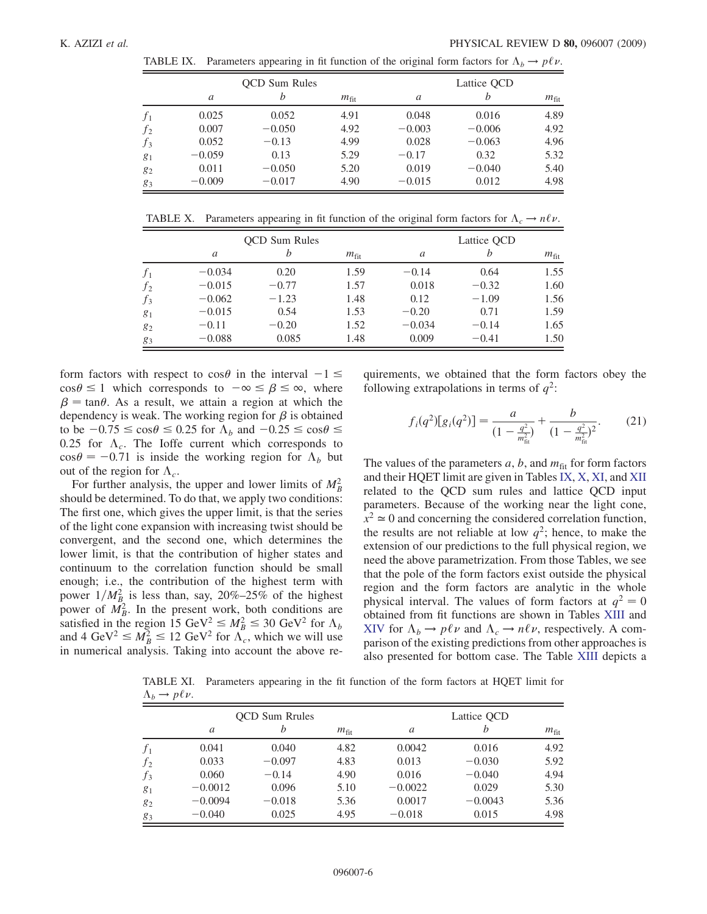TABLE IX. Parameters appearing in fit function of the original form factors for  $\Lambda_b \to p\ell\nu$ . K. AZIZI *et al.* PHYSICAL REVIEW D **80,** 096007 (2009)<br>TABLE IX. Parameters appearing in fit function of the original form factors for  $\Lambda_h \to p \ell \nu$ .

<span id="page-5-0"></span>

|                |          | <b>OCD</b> Sum Rules |                  |          | Lattice OCD |                  |
|----------------|----------|----------------------|------------------|----------|-------------|------------------|
|                | a        | b                    | $m_{\text{fit}}$ | a        | h           | $m_{\text{fit}}$ |
| $f_1$          | 0.025    | 0.052                | 4.91             | 0.048    | 0.016       | 4.89             |
| f <sub>2</sub> | 0.007    | $-0.050$             | 4.92             | $-0.003$ | $-0.006$    | 4.92             |
| $f_3$          | 0.052    | $-0.13$              | 4.99             | 0.028    | $-0.063$    | 4.96             |
| $g_1$          | $-0.059$ | 0.13                 | 5.29             | $-0.17$  | 0.32        | 5.32             |
| $g_2$          | 0.011    | $-0.050$             | 5.20             | 0.019    | $-0.040$    | 5.40             |
| 83             | $-0.009$ | $-0.017$             | 4.90             | $-0.015$ | 0.012       | 4.98             |

<span id="page-5-1"></span>TABLE X. Parameters appearing in fit function of the original form factors for  $\Lambda_c \to n\ell\nu$ .

|       |          | <b>OCD</b> Sum Rules |                  |          | Lattice QCD |                  |
|-------|----------|----------------------|------------------|----------|-------------|------------------|
|       | a        | b                    | $m_{\text{fit}}$ | a        | h           | $m_{\text{fit}}$ |
| $f_1$ | $-0.034$ | 0.20                 | 1.59             | $-0.14$  | 0.64        | 1.55             |
| $f_2$ | $-0.015$ | $-0.77$              | 1.57             | 0.018    | $-0.32$     | 1.60             |
| $f_3$ | $-0.062$ | $-1.23$              | 1.48             | 0.12     | $-1.09$     | 1.56             |
| $g_1$ | $-0.015$ | 0.54                 | 1.53             | $-0.20$  | 0.71        | 1.59             |
| $g_2$ | $-0.11$  | $-0.20$              | 1.52             | $-0.034$ | $-0.14$     | 1.65             |
| $g_3$ | $-0.088$ | 0.085                | 1.48             | 0.009    | $-0.41$     | 1.50             |

form factors with respect to  $\cos\theta$  in the interval  $-1 \le$  $\cos \theta \le 1$  which corresponds to  $-\infty \le \beta \le \infty$ , where  $\beta$  = tan $\theta$ . As a result, we attain a region at which the dependency is weak. The working region for  $\beta$  is obtained to be  $-0.75 \le \cos \theta \le 0.25$  for  $\Lambda_b$  and  $-0.25 \le \cos \theta \le 0.25$  for  $\Lambda$ . The Joffe current which corresponds to 0.25 for  $\Lambda_c$ . The Ioffe current which corresponds to  $\cos \theta = -0.71$  is inside the working region for  $\Lambda_b$  but out of the region for  $\Lambda$ out of the region for  $\Lambda_c$ .

For further analysis, the upper and lower limits of  $M_B^2$ should be determined. To do that, we apply two conditions: The first one, which gives the upper limit, is that the series of the light cone expansion with increasing twist should be convergent, and the second one, which determines the lower limit, is that the contribution of higher states and continuum to the correlation function should be small enough; i.e., the contribution of the highest term with power  $1/M_{B_2}^2$  is less than, say, 20%–25% of the highest power of  $\overline{M}_B^2$ . In the present work, both conditions are satisfied in the region 15 GeV<sup>2</sup>  $\leq M_B^2 \leq 30$  GeV<sup>2</sup> for  $\Lambda_b$ <br>and 4 GeV<sup>2</sup>  $\leq M_A^2 \leq 12$  GeV<sup>2</sup> for  $\Lambda_c$  which we will use and 4 GeV<sup>2</sup>  $\leq M_B^2 \leq 12$  GeV<sup>2</sup> for  $\Lambda_c$ , which we will use<br>in numerical analysis. Taking into account the above rein numerical analysis. Taking into account the above requirements, we obtained that the form factors obey the following extrapolations in terms of  $q^2$ :

$$
f_i(q^2)[g_i(q^2)] = \frac{a}{(1 - \frac{q^2}{m_{\text{fit}}^2})} + \frac{b}{(1 - \frac{q^2}{m_{\text{fit}}^2})^2}.
$$
 (21)

The values of the parameters  $a, b$ , and  $m_{\text{fit}}$  for form factors and their HQET limit are given in Tables [IX,](#page-5-0) [X](#page-5-1), [XI,](#page-5-2) and [XII](#page-6-0) related to the QCD sum rules and lattice QCD input parameters. Because of the working near the light cone,  $x^2 \approx 0$  and concerning the considered correlation function, the results are not reliable at low  $q^2$ ; hence, to make the extension of our predictions to the full physical region, we need the above parametrization. From those Tables, we see that the pole of the form factors exist outside the physical region and the form factors are analytic in the whole physical interval. The values of form factors at  $q^2 = 0$ obtained from fit functions are shown in Tables [XIII](#page-6-1) and [XIV](#page-6-2) for  $\Lambda_b \to p\ell\nu$  and  $\Lambda_c \to n\ell\nu$ , respectively. A com-<br>parison of the existing predictions from other approaches is parison of the existing predictions from other approaches is also presented for bottom case. The Table [XIII](#page-6-1) depicts a

<span id="page-5-2"></span>TABLE XI. Parameters appearing in the fit function of the form factors at HQET limit for  $\frac{\Lambda_b \to p\ell\nu.}{}$ 

|       |           | <b>OCD</b> Sum Rrules |               |           | Lattice QCD |                  |
|-------|-----------|-----------------------|---------------|-----------|-------------|------------------|
|       | a         | b                     | $m_{\rm fit}$ | a         | b           | $m_{\text{fit}}$ |
| $f_1$ | 0.041     | 0.040                 | 4.82          | 0.0042    | 0.016       | 4.92             |
| $f_2$ | 0.033     | $-0.097$              | 4.83          | 0.013     | $-0.030$    | 5.92             |
| $f_3$ | 0.060     | $-0.14$               | 4.90          | 0.016     | $-0.040$    | 4.94             |
| $g_1$ | $-0.0012$ | 0.096                 | 5.10          | $-0.0022$ | 0.029       | 5.30             |
| $g_2$ | $-0.0094$ | $-0.018$              | 5.36          | 0.0017    | $-0.0043$   | 5.36             |
| 83    | $-0.040$  | 0.025                 | 4.95          | $-0.018$  | 0.015       | 4.98             |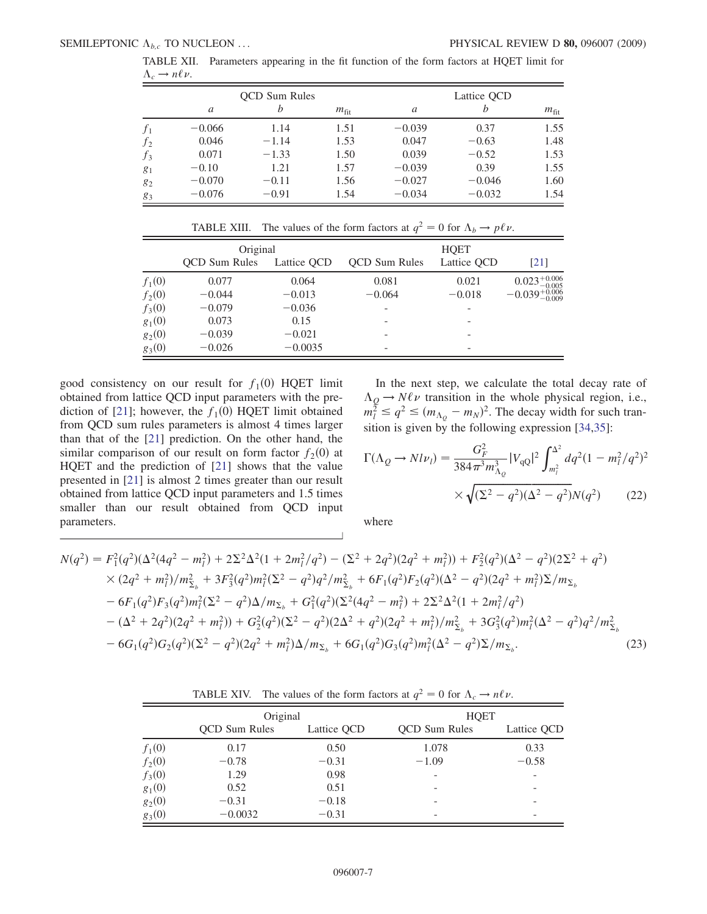<span id="page-6-0"></span>

| $\Lambda_c \rightarrow n \ell \nu$ .                                                      |  |  |  |  |  |  |  |
|-------------------------------------------------------------------------------------------|--|--|--|--|--|--|--|
| TABLE XII. Parameters appearing in the fit function of the form factors at HQET limit for |  |  |  |  |  |  |  |

|       |          | <b>OCD</b> Sum Rules |               |          | Lattice QCD |                  |
|-------|----------|----------------------|---------------|----------|-------------|------------------|
|       | a        | h                    | $m_{\rm fit}$ | a        | h           | $m_{\text{fit}}$ |
| $f_1$ | $-0.066$ | 1.14                 | 1.51          | $-0.039$ | 0.37        | 1.55             |
| $f_2$ | 0.046    | $-1.14$              | 1.53          | 0.047    | $-0.63$     | 1.48             |
| $f_3$ | 0.071    | $-1.33$              | 1.50          | 0.039    | $-0.52$     | 1.53             |
| $g_1$ | $-0.10$  | 1.21                 | 1.57          | $-0.039$ | 0.39        | 1.55             |
| 82    | $-0.070$ | $-0.11$              | 1.56          | $-0.027$ | $-0.046$    | 1.60             |
| 83    | $-0.076$ | $-0.91$              | 1.54          | $-0.034$ | $-0.032$    | 1.54             |

|  | TABLE XIII. The values of the form factors at $q^2 = 0$ for $\Lambda_b \to p\ell\nu$ . |  |
|--|----------------------------------------------------------------------------------------|--|
|  |                                                                                        |  |
|  |                                                                                        |  |

<span id="page-6-1"></span>

|          | Original             |             | <b>HQET</b>          |             |                            |  |
|----------|----------------------|-------------|----------------------|-------------|----------------------------|--|
|          | <b>OCD</b> Sum Rules | Lattice QCD | <b>OCD</b> Sum Rules | Lattice OCD | $\lceil 21 \rceil$         |  |
| $f_1(0)$ | 0.077                | 0.064       | 0.081                | 0.021       | $0.023_{-0.005}^{+0.006}$  |  |
| $f_2(0)$ | $-0.044$             | $-0.013$    | $-0.064$             | $-0.018$    | $-0.039_{-0.009}^{+0.006}$ |  |
| $f_3(0)$ | $-0.079$             | $-0.036$    |                      |             |                            |  |
| $g_1(0)$ | 0.073                | 0.15        |                      |             |                            |  |
| $g_2(0)$ | $-0.039$             | $-0.021$    |                      |             |                            |  |
| $g_3(0)$ | $-0.026$             | $-0.0035$   |                      |             |                            |  |

good consistency on our result for  $f_1(0)$  HQET limit obtained from lattice QCD input parameters with the pre-diction of [[21](#page-8-12)]; however, the  $f_1(0)$  HQET limit obtained from QCD sum rules parameters is almost 4 times larger than that of the [[21\]](#page-8-12) prediction. On the other hand, the similar comparison of our result on form factor  $f_2(0)$  at HQET and the prediction of [[21](#page-8-12)] shows that the value presented in [\[21\]](#page-8-12) is almost 2 times greater than our result obtained from lattice QCD input parameters and 1.5 times smaller than our result obtained from QCD input parameters.

In the next step, we calculate the total decay rate of  $\Lambda_Q \to N \ell \nu$  transition in the whole physical region, i.e.,<br>  $m_l^2 \le q^2 \le (m_{\Lambda_Q} - m_N)^2$ . The decay width for such tran-<br>
sition is given by the following expression [24.25]. sition is given by the following expression [\[34](#page-8-24)[,35\]](#page-8-25):

$$
\Gamma(\Lambda_Q \to N l \nu_l) = \frac{G_F^2}{384 \pi^3 m_{\Lambda_Q}^3} |V_{\rm qQ}|^2 \int_{m_l^2}^{\Lambda^2} dq^2 (1 - m_l^2 / q^2)^2
$$

$$
\times \sqrt{(\Sigma^2 - q^2)(\Lambda^2 - q^2)} N(q^2) \qquad (22)
$$

where

$$
N(q^2) = F_1^2(q^2)(\Delta^2(4q^2 - m_l^2) + 2\Sigma^2\Delta^2(1 + 2m_l^2/q^2) - (\Sigma^2 + 2q^2)(2q^2 + m_l^2)) + F_2^2(q^2)(\Delta^2 - q^2)(2\Sigma^2 + q^2) \times (2q^2 + m_l^2)/m_{\Sigma_b}^2 + 3F_3^2(q^2)m_l^2(\Sigma^2 - q^2)q^2/m_{\Sigma_b}^2 + 6F_1(q^2)F_2(q^2)(\Delta^2 - q^2)(2q^2 + m_l^2)\Sigma/m_{\Sigma_b} \n- 6F_1(q^2)F_3(q^2)m_l^2(\Sigma^2 - q^2)\Delta/m_{\Sigma_b} + G_1^2(q^2)(\Sigma^2(4q^2 - m_l^2) + 2\Sigma^2\Delta^2(1 + 2m_l^2/q^2) \n- (\Delta^2 + 2q^2)(2q^2 + m_l^2)) + G_2^2(q^2)(\Sigma^2 - q^2)(2\Delta^2 + q^2)(2q^2 + m_l^2)/m_{\Sigma_b}^2 + 3G_3^2(q^2)m_l^2(\Delta^2 - q^2)q^2/m_{\Sigma_b}^2 \n- 6G_1(q^2)G_2(q^2)(\Sigma^2 - q^2)(2q^2 + m_l^2)\Delta/m_{\Sigma_b} + 6G_1(q^2)G_3(q^2)m_l^2(\Delta^2 - q^2)\Sigma/m_{\Sigma_b}.
$$
\n(23)

TABLE XIV. The values of the form factors at  $q^2 = 0$  for  $\Lambda_c \to n\ell\nu$ .

<span id="page-6-2"></span>

|          | Original             |             | <b>HQET</b>              |                          |
|----------|----------------------|-------------|--------------------------|--------------------------|
|          | <b>OCD</b> Sum Rules | Lattice QCD | <b>OCD</b> Sum Rules     | Lattice QCD              |
| $f_1(0)$ | 0.17                 | 0.50        | 1.078                    | 0.33                     |
| $f_2(0)$ | $-0.78$              | $-0.31$     | $-1.09$                  | $-0.58$                  |
| $f_3(0)$ | 1.29                 | 0.98        | $\overline{\phantom{0}}$ | $\overline{\phantom{a}}$ |
| $g_1(0)$ | 0.52                 | 0.51        | -                        | $\overline{\phantom{a}}$ |
| $g_2(0)$ | $-0.31$              | $-0.18$     |                          | $\overline{\phantom{a}}$ |
| $g_3(0)$ | $-0.0032$            | $-0.31$     |                          |                          |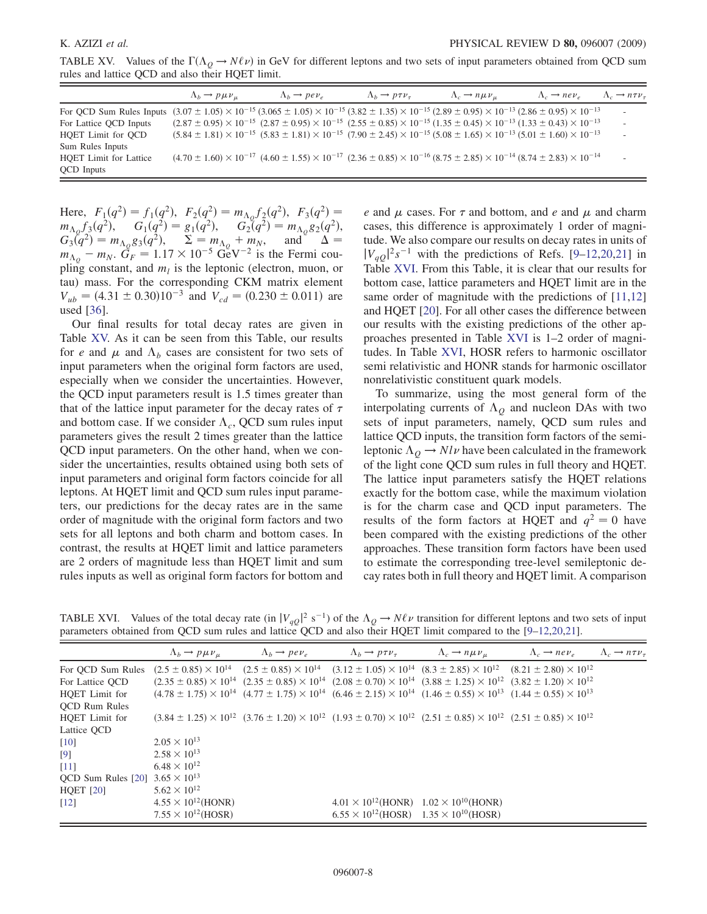<span id="page-7-0"></span>TABLE XV. Values of the  $\Gamma(\Lambda_Q \to N\ell \nu)$  in GeV for different leptons and two sets of input parameters obtained from QCD sum<br>rules and lattice OCD and also their HOFT limit rules and lattice QCD and also their HQET limit.

|                                                                                                                                                                                             | $\Lambda_b \rightarrow p \mu \nu_{\mu}$ | $\Lambda_b \rightarrow \rho e \nu_e$ | $\Lambda_b \rightarrow p \tau \nu_{\tau}$ | $\Lambda_c \rightarrow n \mu \nu_{\mu}$                                                                                                                                   | $\Lambda_c \rightarrow n e \nu_e$ | $\Lambda_c \rightarrow n \tau \nu_{\tau}$ |
|---------------------------------------------------------------------------------------------------------------------------------------------------------------------------------------------|-----------------------------------------|--------------------------------------|-------------------------------------------|---------------------------------------------------------------------------------------------------------------------------------------------------------------------------|-----------------------------------|-------------------------------------------|
| For QCD Sum Rules Inputs $(3.07 \pm 1.05) \times 10^{-15} (3.065 \pm 1.05) \times 10^{-15} (3.82 \pm 1.35) \times 10^{-15} (2.89 \pm 0.95) \times 10^{-13} (2.86 \pm 0.95) \times 10^{-13}$ |                                         |                                      |                                           |                                                                                                                                                                           |                                   | $\overline{\phantom{a}}$                  |
| For Lattice QCD Inputs                                                                                                                                                                      |                                         |                                      |                                           | $(2.87 \pm 0.95) \times 10^{-15}$ $(2.87 \pm 0.95) \times 10^{-15}$ $(2.55 \pm 0.85) \times 10^{-15}$ $(1.35 \pm 0.45) \times 10^{-13}$ $(1.33 \pm 0.43) \times 10^{-13}$ |                                   |                                           |
| HQET Limit for QCD                                                                                                                                                                          |                                         |                                      |                                           | $(5.84 \pm 1.81) \times 10^{-15}$ $(5.83 \pm 1.81) \times 10^{-15}$ $(7.90 \pm 2.45) \times 10^{-15}$ $(5.08 \pm 1.65) \times 10^{-13}$ $(5.01 \pm 1.60) \times 10^{-13}$ |                                   | $\overline{\phantom{a}}$                  |
| Sum Rules Inputs                                                                                                                                                                            |                                         |                                      |                                           |                                                                                                                                                                           |                                   |                                           |
| <b>HQET</b> Limit for Lattice                                                                                                                                                               |                                         |                                      |                                           | $(4.70 \pm 1.60) \times 10^{-17}$ $(4.60 \pm 1.55) \times 10^{-17}$ $(2.36 \pm 0.85) \times 10^{-16}$ $(8.75 \pm 2.85) \times 10^{-14}$ $(8.74 \pm 2.83) \times 10^{-14}$ |                                   |                                           |
| <b>QCD</b> Inputs                                                                                                                                                                           |                                         |                                      |                                           |                                                                                                                                                                           |                                   |                                           |

Here,  $F_1(q^2) = f_1(q^2)$ ,  $F_2(q^2) = m_{\Lambda_Q} f_2(q^2)$ ,  $F_3(q^2) = m_{\Lambda_Q} f_3(q^2)$ ,  $G_1(q^2) = g_1(q^2)$ ,  $G_2(q^2) = m_{\Lambda_Q} g_2(q^2)$ ,  $G_3(q^2) = m_{\Lambda_Q} g_3(q^2)$ ,  $\Sigma = m_{\Lambda_Q} + m_{\Lambda_Q}$  and  $\Lambda =$  $G_3(\tilde{q}^2) = m_{\Lambda_Q} g_3(q^2), \quad \Sigma = m_{\Lambda_Q} + m_N, \quad \text{and} \quad \Delta = m_{\Lambda_Q} - m_N.$   $\tilde{G}_F = 1.17 \times 10^{-5} \text{ GeV}^{-2}$  is the Fermi coupling constant, and  $m_l$  is the leptonic (electron, muon, or tau) mass. For the corresponding CKM matrix element  $V_{ub} = (4.31 \pm 0.30)10^{-3}$  and  $V_{cd} = (0.230 \pm 0.011)$  are used [[36](#page-8-26)].

Our final results for total decay rates are given in Table [XV.](#page-7-0) As it can be seen from this Table, our results for e and  $\mu$  and  $\Lambda_b$  cases are consistent for two sets of input parameters when the original form factors are used, especially when we consider the uncertainties. However, the QCD input parameters result is 1.5 times greater than that of the lattice input parameter for the decay rates of  $\tau$ and bottom case. If we consider  $\Lambda_c$ , QCD sum rules input parameters gives the result 2 times greater than the lattice QCD input parameters. On the other hand, when we consider the uncertainties, results obtained using both sets of input parameters and original form factors coincide for all leptons. At HQET limit and QCD sum rules input parameters, our predictions for the decay rates are in the same order of magnitude with the original form factors and two sets for all leptons and both charm and bottom cases. In contrast, the results at HQET limit and lattice parameters are 2 orders of magnitude less than HQET limit and sum rules inputs as well as original form factors for bottom and e and  $\mu$  cases. For  $\tau$  and bottom, and e and  $\mu$  and charm cases, this difference is approximately 1 order of magnitude. We also compare our results on decay rates in units of  $|V_{qQ}|^2 s^{-1}$  with the predictions of Refs. [[9](#page-8-2)[–12,](#page-8-5)[20](#page-8-11)[,21\]](#page-8-12) in<br>Table XVI From this Table, it is clear that our results for Table [XVI.](#page-7-1) From this Table, it is clear that our results for bottom case, lattice parameters and HQET limit are in the same order of magnitude with the predictions of [\[11,](#page-8-4)[12\]](#page-8-5) and HQET [[20](#page-8-11)]. For all other cases the difference between our results with the existing predictions of the other approaches presented in Table [XVI](#page-7-1) is 1–2 order of magnitudes. In Table [XVI,](#page-7-1) HOSR refers to harmonic oscillator semi relativistic and HONR stands for harmonic oscillator nonrelativistic constituent quark models.

To summarize, using the most general form of the interpolating currents of  $\Lambda_Q$  and nucleon DAs with two sets of input parameters, namely, QCD sum rules and lattice QCD inputs, the transition form factors of the semileptonic  $\Lambda_{Q} \rightarrow N l \nu$  have been calculated in the framework<br>of the light cone OCD sum rules in full theory and HOFT of the light cone QCD sum rules in full theory and HQET. The lattice input parameters satisfy the HQET relations exactly for the bottom case, while the maximum violation is for the charm case and QCD input parameters. The results of the form factors at HQET and  $q^2 = 0$  have been compared with the existing predictions of the other approaches. These transition form factors have been used to estimate the corresponding tree-level semileptonic decay rates both in full theory and HQET limit. A comparison

<span id="page-7-1"></span>TABLE XVI. Values of the total decay rate (in  $|V_{qQ}|^2$  s<sup>-1</sup>) of the  $\Lambda_Q \to N\ell\nu$  transition for different leptons and two sets of input parameters obtained from OCD sum rules and lattice OCD and also their HOFT limit c parameters obtained from QCD sum rules and lattice QCD and also their HQET limit compared to the [[9](#page-8-2)[–12,](#page-8-5)[20,](#page-8-11)[21](#page-8-12)].

|                                          | $\Lambda_b \rightarrow p \mu \nu_{\mu}$                                                                                                                           | $\Lambda_b \rightarrow \rho e \nu_e$ | $\Lambda_b \rightarrow p \tau \nu_{\tau}$                                                                                                                            | $\Lambda_c \rightarrow n \mu \nu_{\mu}$ | $\Lambda_c \rightarrow n e \nu_e$ | $\Lambda_c \rightarrow n \tau \nu_{\tau}$ |
|------------------------------------------|-------------------------------------------------------------------------------------------------------------------------------------------------------------------|--------------------------------------|----------------------------------------------------------------------------------------------------------------------------------------------------------------------|-----------------------------------------|-----------------------------------|-------------------------------------------|
| For QCD Sum Rules                        | $(2.5 \pm 0.85) \times 10^{14}$ $(2.5 \pm 0.85) \times 10^{14}$ $(3.12 \pm 1.05) \times 10^{14}$ $(8.3 \pm 2.85) \times 10^{12}$ $(8.21 \pm 2.80) \times 10^{12}$ |                                      |                                                                                                                                                                      |                                         |                                   |                                           |
| For Lattice QCD                          |                                                                                                                                                                   |                                      | $(2.35 \pm 0.85) \times 10^{14}$ $(2.35 \pm 0.85) \times 10^{14}$ $(2.08 \pm 0.70) \times 10^{14}$ $(3.88 \pm 1.25) \times 10^{12}$ $(3.82 \pm 1.20) \times 10^{12}$ |                                         |                                   |                                           |
| HQET Limit for                           |                                                                                                                                                                   |                                      | $(4.78 \pm 1.75) \times 10^{14}$ $(4.77 \pm 1.75) \times 10^{14}$ $(6.46 \pm 2.15) \times 10^{14}$ $(1.46 \pm 0.55) \times 10^{13}$ $(1.44 \pm 0.55) \times 10^{13}$ |                                         |                                   |                                           |
| <b>QCD</b> Rum Rules                     |                                                                                                                                                                   |                                      |                                                                                                                                                                      |                                         |                                   |                                           |
| HQET Limit for                           |                                                                                                                                                                   |                                      | $(3.84 \pm 1.25) \times 10^{12}$ $(3.76 \pm 1.20) \times 10^{12}$ $(1.93 \pm 0.70) \times 10^{12}$ $(2.51 \pm 0.85) \times 10^{12}$ $(2.51 \pm 0.85) \times 10^{12}$ |                                         |                                   |                                           |
| Lattice QCD                              |                                                                                                                                                                   |                                      |                                                                                                                                                                      |                                         |                                   |                                           |
| $[10]$                                   | $2.05 \times 10^{13}$                                                                                                                                             |                                      |                                                                                                                                                                      |                                         |                                   |                                           |
| $\lceil 9 \rceil$                        | $2.58 \times 10^{13}$                                                                                                                                             |                                      |                                                                                                                                                                      |                                         |                                   |                                           |
| [11]                                     | $6.48 \times 10^{12}$                                                                                                                                             |                                      |                                                                                                                                                                      |                                         |                                   |                                           |
| QCD Sum Rules [20] $3.65 \times 10^{13}$ |                                                                                                                                                                   |                                      |                                                                                                                                                                      |                                         |                                   |                                           |
| <b>HQET</b> [20]                         | $5.62 \times 10^{12}$                                                                                                                                             |                                      |                                                                                                                                                                      |                                         |                                   |                                           |
| $\lceil 12 \rceil$                       | $4.55 \times 10^{12}$ (HONR)                                                                                                                                      |                                      | $4.01 \times 10^{12}$ (HONR) $1.02 \times 10^{10}$ (HONR)                                                                                                            |                                         |                                   |                                           |
|                                          | $7.55 \times 10^{12}$ (HOSR)                                                                                                                                      |                                      | $6.55 \times 10^{12}$ (HOSR) $1.35 \times 10^{10}$ (HOSR)                                                                                                            |                                         |                                   |                                           |